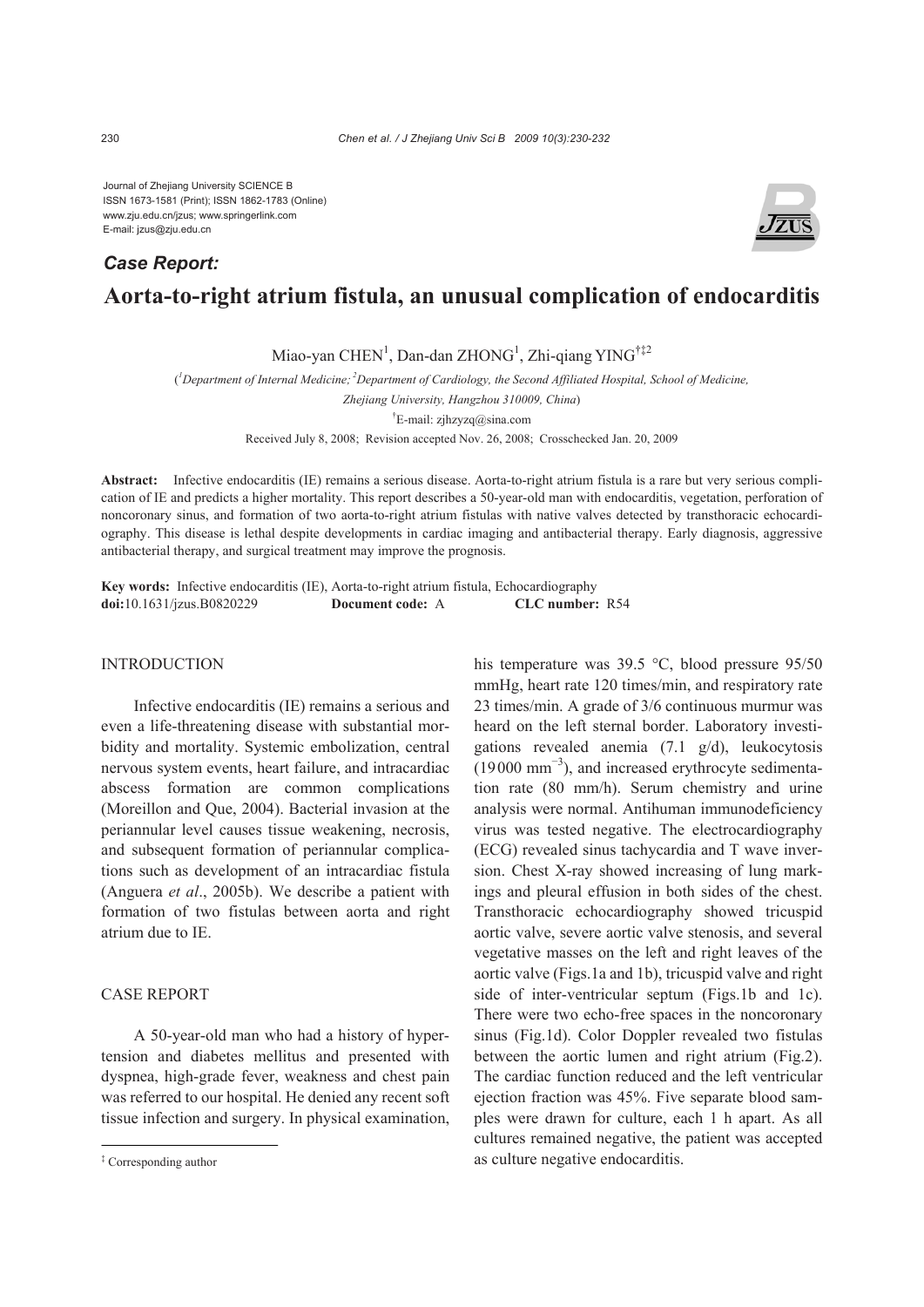Journal of Zhejiang University SCIENCE B ISSN 1673-1581 (Print); ISSN 1862-1783 (Online) www.zju.edu.cn/jzus; www.springerlink.com E-mail: jzus@zju.edu.cn

# **Aorta-to-right atrium fistula, an unusual complication of endocarditis**  *Case Report:*

Miao-yan CHEN<sup>1</sup>, Dan-dan ZHONG<sup>1</sup>, Zhi-qiang YING<sup>†‡2</sup>

( *1 Department of Internal Medicine; 2Department of Cardiology, the Second Affiliated Hospital, School of Medicine,* 

*Zhejiang University, Hangzhou 310009, China*)

 $E$ -mail: zjhzyzq $@$ sina.com

Received July 8, 2008; Revision accepted Nov. 26, 2008; Crosschecked Jan. 20, 2009

**Abstract:** Infective endocarditis (IE) remains a serious disease. Aorta-to-right atrium fistula is a rare but very serious complication of IE and predicts a higher mortality. This report describes a 50-year-old man with endocarditis, vegetation, perforation of noncoronary sinus, and formation of two aorta-to-right atrium fistulas with native valves detected by transthoracic echocardiography. This disease is lethal despite developments in cardiac imaging and antibacterial therapy. Early diagnosis, aggressive antibacterial therapy, and surgical treatment may improve the prognosis.

**Key words:** Infective endocarditis (IE), Aorta-to-right atrium fistula, Echocardiography **doi:**10.1631/jzus.B0820229 **Document code:** A **CLC number:** R54

## INTRODUCTION

Infective endocarditis (IE) remains a serious and even a life-threatening disease with substantial morbidity and mortality. Systemic embolization, central nervous system events, heart failure, and intracardiac abscess formation are common complications (Moreillon and Que, 2004). Bacterial invasion at the periannular level causes tissue weakening, necrosis, and subsequent formation of periannular complications such as development of an intracardiac fistula (Anguera *et al*., 2005b). We describe a patient with formation of two fistulas between aorta and right atrium due to IE.

# CASE REPORT

A 50-year-old man who had a history of hypertension and diabetes mellitus and presented with dyspnea, high-grade fever, weakness and chest pain was referred to our hospital. He denied any recent soft tissue infection and surgery. In physical examination, his temperature was 39.5 °C, blood pressure 95/50 mmHg, heart rate 120 times/min, and respiratory rate 23 times/min. A grade of 3/6 continuous murmur was heard on the left sternal border. Laboratory investigations revealed anemia (7.1 g/d), leukocytosis (19000 mm<sup>−</sup><sup>3</sup> ), and increased erythrocyte sedimentation rate (80 mm/h). Serum chemistry and urine analysis were normal. Antihuman immunodeficiency virus was tested negative. The electrocardiography (ECG) revealed sinus tachycardia and T wave inversion. Chest X-ray showed increasing of lung markings and pleural effusion in both sides of the chest. Transthoracic echocardiography showed tricuspid aortic valve, severe aortic valve stenosis, and several vegetative masses on the left and right leaves of the aortic valve (Figs.1a and 1b), tricuspid valve and right side of inter-ventricular septum (Figs.1b and 1c). There were two echo-free spaces in the noncoronary sinus (Fig.1d). Color Doppler revealed two fistulas between the aortic lumen and right atrium (Fig.2). The cardiac function reduced and the left ventricular ejection fraction was 45%. Five separate blood samples were drawn for culture, each 1 h apart. As all cultures remained negative, the patient was accepted as culture negative endocarditis.



<sup>‡</sup> Corresponding author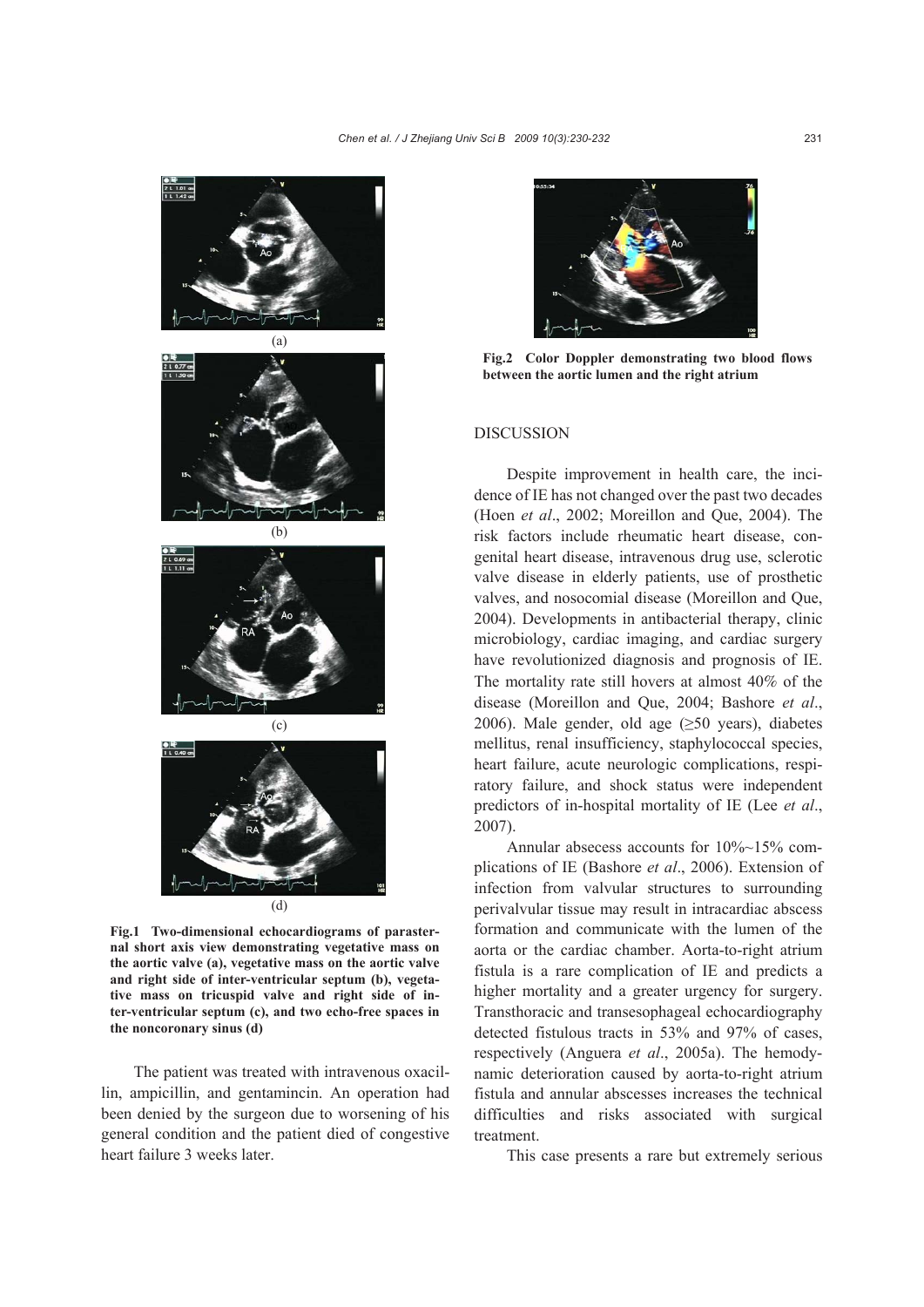

**Fig.1 Two-dimensional echocardiograms of parasternal short axis view demonstrating vegetative mass on the aortic valve (a), vegetative mass on the aortic valve and right side of inter-ventricular septum (b), vegetative mass on tricuspid valve and right side of inter-ventricular septum (c), and two echo-free spaces in the noncoronary sinus (d)**

The patient was treated with intravenous oxacillin, ampicillin, and gentamincin. An operation had been denied by the surgeon due to worsening of his general condition and the patient died of congestive heart failure 3 weeks later.



**Fig.2 Color Doppler demonstrating two blood flows between the aortic lumen and the right atrium**

## DISCUSSION

Despite improvement in health care, the incidence of IE has not changed over the past two decades (Hoen *et al*., 2002; Moreillon and Que, 2004). The risk factors include rheumatic heart disease, congenital heart disease, intravenous drug use, sclerotic valve disease in elderly patients, use of prosthetic valves, and nosocomial disease (Moreillon and Que, 2004). Developments in antibacterial therapy, clinic microbiology, cardiac imaging, and cardiac surgery have revolutionized diagnosis and prognosis of IE. The mortality rate still hovers at almost 40% of the disease (Moreillon and Que, 2004; Bashore *et al*., 2006). Male gender, old age  $(≥50 \text{ years})$ , diabetes mellitus, renal insufficiency, staphylococcal species, heart failure, acute neurologic complications, respiratory failure, and shock status were independent predictors of in-hospital mortality of IE (Lee *et al*., 2007).

Annular absecess accounts for  $10\%$ ~15% complications of IE (Bashore *et al*., 2006). Extension of infection from valvular structures to surrounding perivalvular tissue may result in intracardiac abscess formation and communicate with the lumen of the aorta or the cardiac chamber. Aorta-to-right atrium fistula is a rare complication of IE and predicts a higher mortality and a greater urgency for surgery. Transthoracic and transesophageal echocardiography detected fistulous tracts in 53% and 97% of cases, respectively (Anguera *et al*., 2005a). The hemodynamic deterioration caused by aorta-to-right atrium fistula and annular abscesses increases the technical difficulties and risks associated with surgical treatment.

This case presents a rare but extremely serious